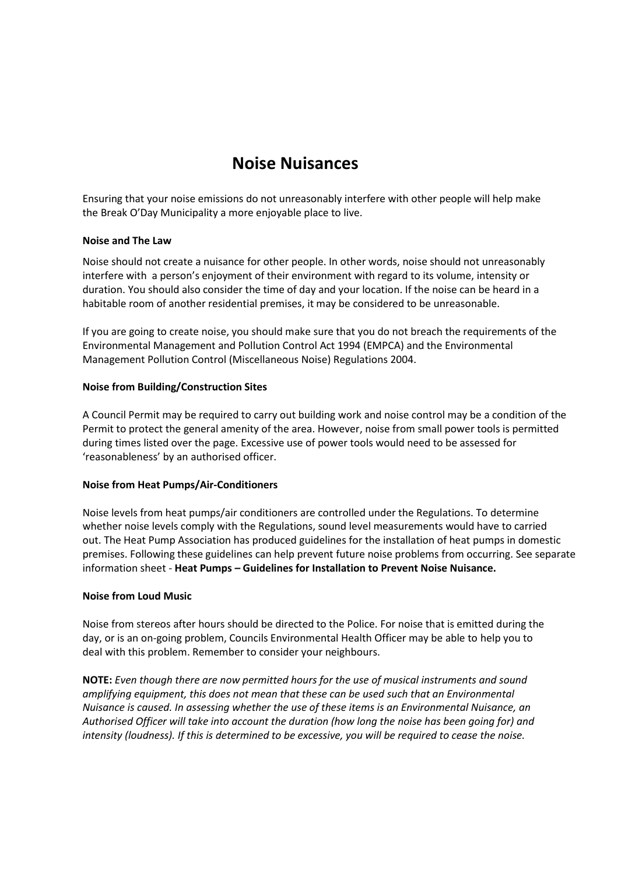# **Noise Nuisances**

Ensuring that your noise emissions do not unreasonably interfere with other people will help make the Break O'Day Municipality a more enjoyable place to live.

## **Noise and The Law**

Noise should not create a nuisance for other people. In other words, noise should not unreasonably interfere with a person's enjoyment of their environment with regard to its volume, intensity or duration. You should also consider the time of day and your location. If the noise can be heard in a habitable room of another residential premises, it may be considered to be unreasonable.

If you are going to create noise, you should make sure that you do not breach the requirements of the Environmental Management and Pollution Control Act 1994 (EMPCA) and the Environmental Management Pollution Control (Miscellaneous Noise) Regulations 2004.

#### **Noise from Building/Construction Sites**

A Council Permit may be required to carry out building work and noise control may be a condition of the Permit to protect the general amenity of the area. However, noise from small power tools is permitted during times listed over the page. Excessive use of power tools would need to be assessed for 'reasonableness' by an authorised officer.

## **Noise from Heat Pumps/Air-Conditioners**

Noise levels from heat pumps/air conditioners are controlled under the Regulations. To determine whether noise levels comply with the Regulations, sound level measurements would have to carried out. The Heat Pump Association has produced guidelines for the installation of heat pumps in domestic premises. Following these guidelines can help prevent future noise problems from occurring. See separate information sheet - **Heat Pumps – Guidelines for Installation to Prevent Noise Nuisance.**

#### **Noise from Loud Music**

Noise from stereos after hours should be directed to the Police. For noise that is emitted during the day, or is an on-going problem, Councils Environmental Health Officer may be able to help you to deal with this problem. Remember to consider your neighbours.

**NOTE:** *Even though there are now permitted hours for the use of musical instruments and sound amplifying equipment, this does not mean that these can be used such that an Environmental Nuisance is caused. In assessing whether the use of these items is an Environmental Nuisance, an Authorised Officer will take into account the duration (how long the noise has been going for) and intensity (loudness). If this is determined to be excessive, you will be required to cease the noise.*